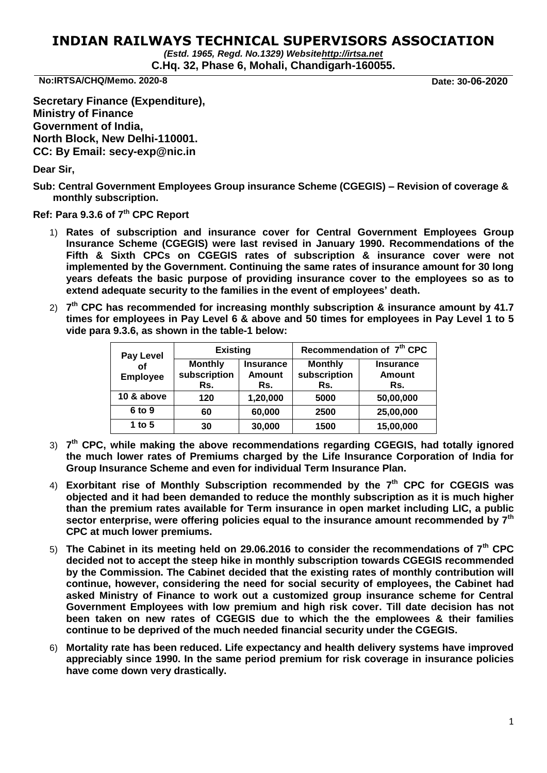## **INDIAN RAILWAYS TECHNICAL SUPERVISORS ASSOCIATION**

*(Estd. 1965, Regd. No.1329) Websit[ehttp://irtsa.net](http://irtsa.net/)* **C.Hq. 32, Phase 6, Mohali, Chandigarh-160055.**

**No:IRTSA/CHQ/Memo. 2020-8 Date: 30-06-2020**

**Secretary Finance (Expenditure), Ministry of Finance Government of India, North Block, New Delhi-110001. CC: By Email: secy-exp@nic.in**

**Dear Sir,** 

**Sub: Central Government Employees Group insurance Scheme (CGEGIS) – Revision of coverage & monthly subscription.**

**Ref: Para 9.3.6 of 7th CPC Report**

- 1) **Rates of subscription and insurance cover for Central Government Employees Group Insurance Scheme (CGEGIS) were last revised in January 1990. Recommendations of the Fifth & Sixth CPCs on CGEGIS rates of subscription & insurance cover were not implemented by the Government. Continuing the same rates of insurance amount for 30 long years defeats the basic purpose of providing insurance cover to the employees so as to extend adequate security to the families in the event of employees' death.**
- 2) **7 th CPC has recommended for increasing monthly subscription & insurance amount by 41.7 times for employees in Pay Level 6 & above and 50 times for employees in Pay Level 1 to 5 vide para 9.3.6, as shown in the table-1 below:**

| <b>Pay Level</b><br>οf<br><b>Employee</b> | <b>Existing</b>                       |                                          | Recommendation of 7 <sup>th</sup> CPC |                                          |  |
|-------------------------------------------|---------------------------------------|------------------------------------------|---------------------------------------|------------------------------------------|--|
|                                           | <b>Monthly</b><br>subscription<br>Rs. | <b>Insurance</b><br><b>Amount</b><br>Rs. | <b>Monthly</b><br>subscription<br>Rs. | <b>Insurance</b><br><b>Amount</b><br>Rs. |  |
| 10 & above                                | 120                                   | 1,20,000                                 | 5000                                  | 50,00,000                                |  |
| 6 to 9                                    | 60                                    | 60,000                                   | 2500                                  | 25,00,000                                |  |
| 1 to 5                                    | 30                                    | 30,000                                   | 1500                                  | 15,00,000                                |  |

- 3) **7 th CPC, while making the above recommendations regarding CGEGIS, had totally ignored the much lower rates of Premiums charged by the Life Insurance Corporation of India for Group Insurance Scheme and even for individual Term Insurance Plan.**
- 4) **Exorbitant rise of Monthly Subscription recommended by the 7 th CPC for CGEGIS was objected and it had been demanded to reduce the monthly subscription as it is much higher than the premium rates available for Term insurance in open market including LIC, a public sector enterprise, were offering policies equal to the insurance amount recommended by 7th CPC at much lower premiums.**
- 5) **The Cabinet in its meeting held on 29.06.2016 to consider the recommendations of 7th CPC decided not to accept the steep hike in monthly subscription towards CGEGIS recommended by the Commission. The Cabinet decided that the existing rates of monthly contribution will continue, however, considering the need for social security of employees, the Cabinet had asked Ministry of Finance to work out a customized group insurance scheme for Central Government Employees with low premium and high risk cover. Till date decision has not been taken on new rates of CGEGIS due to which the the emplowees & their families continue to be deprived of the much needed financial security under the CGEGIS.**
- 6) **Mortality rate has been reduced. Life expectancy and health delivery systems have improved appreciably since 1990. In the same period premium for risk coverage in insurance policies have come down very drastically.**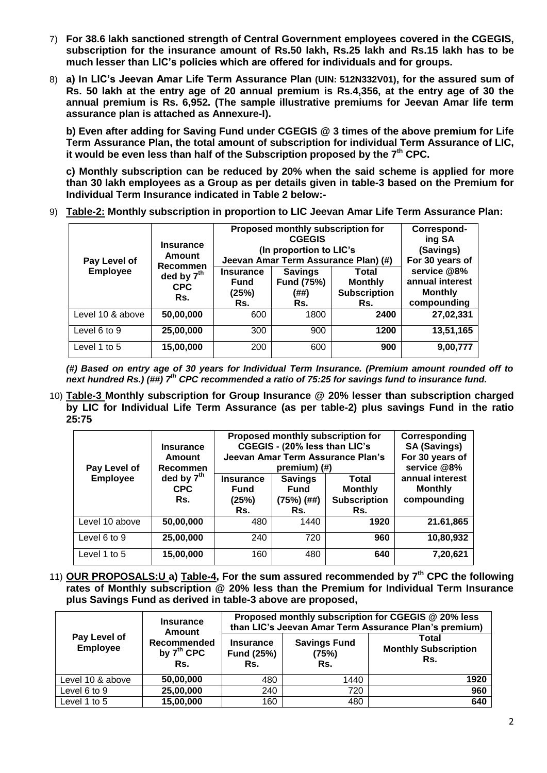- 7) **For 38.6 lakh sanctioned strength of Central Government employees covered in the CGEGIS, subscription for the insurance amount of Rs.50 lakh, Rs.25 lakh and Rs.15 lakh has to be much lesser than LIC's policies which are offered for individuals and for groups.**
- 8) **a) In LIC's Jeevan Amar Life Term Assurance Plan (UIN: 512N332V01), for the assured sum of Rs. 50 lakh at the entry age of 20 annual premium is Rs.4,356, at the entry age of 30 the annual premium is Rs. 6,952. (The sample illustrative premiums for Jeevan Amar life term assurance plan is attached as Annexure-I).**

**b) Even after adding for Saving Fund under CGEGIS @ 3 times of the above premium for Life Term Assurance Plan, the total amount of subscription for individual Term Assurance of LIC, it would be even less than half of the Subscription proposed by the 7 th CPC.** 

**c) Monthly subscription can be reduced by 20% when the said scheme is applied for more than 30 lakh employees as a Group as per details given in table-3 based on the Premium for Individual Term Insurance indicated in Table 2 below:-**

9) **Table-2: Monthly subscription in proportion to LIC Jeevan Amar Life Term Assurance Plan:**

| Pay Level of<br><b>Employee</b> | <b>Insurance</b><br>Amount<br>Recommen<br>ded by $7th$<br><b>CPC</b><br>Rs. | Proposed monthly subscription for<br><b>CGEGIS</b><br>(In proportion to LIC's<br>Jeevan Amar Term Assurance Plan) (#)<br><b>Insurance</b><br><b>Savings</b><br>Total<br><b>Fund (75%)</b><br><b>Monthly</b><br><b>Fund</b><br><b>Subscription</b><br>(25%)<br>(##)<br>Rs.<br>Rs.<br>Rs. |      | Correspond-<br>ing SA<br>(Savings)<br>For 30 years of<br>service @8%<br>annual interest<br><b>Monthly</b><br>compounding |           |
|---------------------------------|-----------------------------------------------------------------------------|-----------------------------------------------------------------------------------------------------------------------------------------------------------------------------------------------------------------------------------------------------------------------------------------|------|--------------------------------------------------------------------------------------------------------------------------|-----------|
| Level 10 & above                | 50,00,000                                                                   | 600                                                                                                                                                                                                                                                                                     | 1800 | 2400                                                                                                                     | 27,02,331 |
| Level 6 to 9                    | 25,00,000                                                                   | 300                                                                                                                                                                                                                                                                                     | 900  | 1200                                                                                                                     | 13,51,165 |
| Level 1 to 5                    | 15,00,000                                                                   | 200                                                                                                                                                                                                                                                                                     | 600  | 900                                                                                                                      | 9,00,777  |

*(#) Based on entry age of 30 years for Individual Term Insurance. (Premium amount rounded off to next hundred Rs.) (##) 7th CPC recommended a ratio of 75:25 for savings fund to insurance fund.*

10) **Table-3 Monthly subscription for Group Insurance @ 20% lesser than subscription charged by LIC for Individual Life Term Assurance (as per table-2) plus savings Fund in the ratio 25:75**

| Pay Level of<br><b>Employee</b> | <b>Insurance</b><br>Amount<br><b>Recommen</b><br>ded by $7th$<br><b>CPC</b><br>Rs. | <b>Insurance</b><br><b>Fund</b><br>(25%)<br>Rs. | Proposed monthly subscription for<br>CGEGIS - (20% less than LIC's<br>Jeevan Amar Term Assurance Plan's<br>premium) (#)<br><b>Savings</b><br><b>Total</b><br><b>Monthly</b><br><b>Fund</b><br><b>Subscription</b><br>$(75%)$ $(##)$<br>Rs.<br>Rs. |      |           |
|---------------------------------|------------------------------------------------------------------------------------|-------------------------------------------------|---------------------------------------------------------------------------------------------------------------------------------------------------------------------------------------------------------------------------------------------------|------|-----------|
| Level 10 above                  | 50,00,000                                                                          | 480                                             | 1440                                                                                                                                                                                                                                              | 1920 | 21.61,865 |
| Level 6 to 9                    | 25,00,000                                                                          | 240                                             | 720                                                                                                                                                                                                                                               | 960  | 10,80,932 |
| Level 1 to 5                    | 15,00,000                                                                          | 160                                             | 480                                                                                                                                                                                                                                               | 640  | 7,20,621  |

11) **OUR PROPOSALS:U a) Table-4, For the sum assured recommended by 7th CPC the following rates of Monthly subscription @ 20% less than the Premium for Individual Term Insurance plus Savings Fund as derived in table-3 above are proposed,**

| Pay Level of<br><b>Employee</b> | <b>Insurance</b><br><b>Amount</b><br>Recommended<br>by $7th$ CPC<br>Rs. | Proposed monthly subscription for CGEGIS @ 20% less<br>than LIC's Jeevan Amar Term Assurance Plan's premium)<br>Total<br><b>Savings Fund</b><br><b>Insurance</b><br><b>Monthly Subscription</b><br><b>Fund (25%)</b><br>(75%)<br>Rs.<br>Rs.<br>Rs. |      |      |  |
|---------------------------------|-------------------------------------------------------------------------|----------------------------------------------------------------------------------------------------------------------------------------------------------------------------------------------------------------------------------------------------|------|------|--|
| Level 10 & above                | 50,00,000                                                               | 480                                                                                                                                                                                                                                                | 1440 | 1920 |  |
| Level 6 to 9                    | 25,00,000                                                               | 240                                                                                                                                                                                                                                                | 720  | 960  |  |
| Level 1 to 5                    | 15,00,000                                                               | 160                                                                                                                                                                                                                                                | 480  | 640  |  |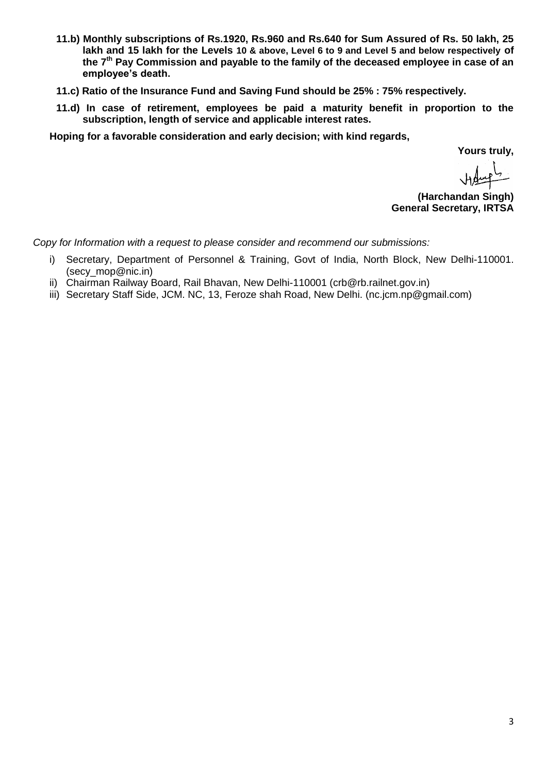- **11.b) Monthly subscriptions of Rs.1920, Rs.960 and Rs.640 for Sum Assured of Rs. 50 lakh, 25 lakh and 15 lakh for the Levels 10 & above, Level 6 to 9 and Level 5 and below respectively of the 7th Pay Commission and payable to the family of the deceased employee in case of an employee's death.**
- **11.c) Ratio of the Insurance Fund and Saving Fund should be 25% : 75% respectively.**
- **11.d) In case of retirement, employees be paid a maturity benefit in proportion to the subscription, length of service and applicable interest rates.**

**Hoping for a favorable consideration and early decision; with kind regards,** 

**Yours truly,**

**(Harchandan Singh) General Secretary, IRTSA**

*Copy for Information with a request to please consider and recommend our submissions:*

- i) Secretary, Department of Personnel & Training, Govt of India, North Block, New Delhi-110001. (secy\_mop@nic.in)
- ii) Chairman Railway Board, Rail Bhavan, New Delhi-110001 (crb@rb.railnet.gov.in)
- iii) Secretary Staff Side, JCM. NC, 13, Feroze shah Road, New Delhi. (nc.jcm.np@gmail.com)